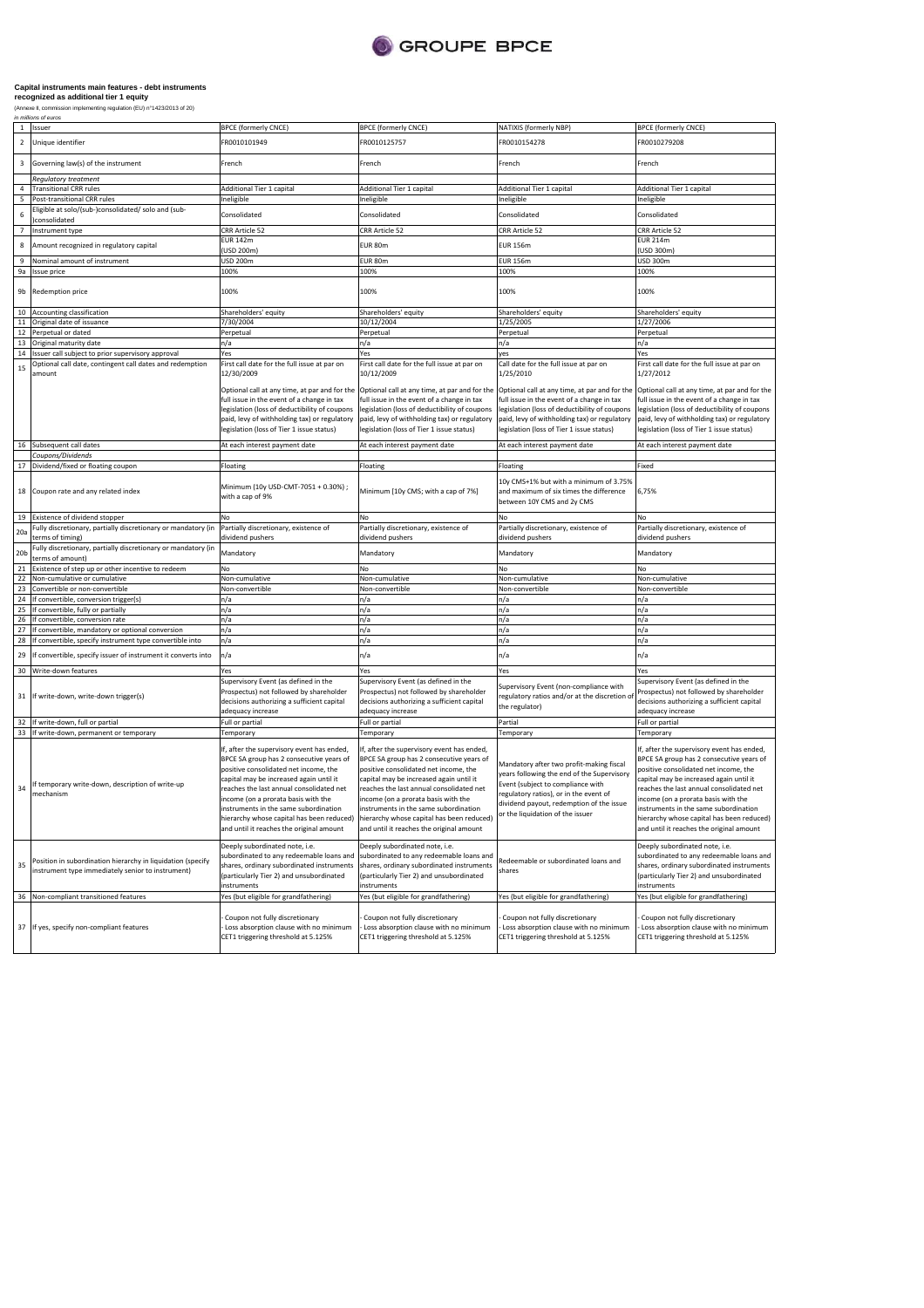

# **Capital instruments main features - debt instruments recognized as additional tier 1 equity**

(Annexe II, commission implementing regulation (EU) n°1423/2013 of 20) in millions of euros

| 1               | Issuer                                                                                                                                                     | <b>BPCE (formerly CNCE)</b>                                                                                                                                                                                                                                                                                                                      | <b>BPCE (formerly CNCE)</b>                                                                                                                                                                                                                                                                                                                                                                                                                 | NATIXIS (formerly NBP)                                                                                                                                                                                                                                | <b>BPCE (formerly CNCE)</b>                                                                                                                                                                                                                                                                                                                                                                   |
|-----------------|------------------------------------------------------------------------------------------------------------------------------------------------------------|--------------------------------------------------------------------------------------------------------------------------------------------------------------------------------------------------------------------------------------------------------------------------------------------------------------------------------------------------|---------------------------------------------------------------------------------------------------------------------------------------------------------------------------------------------------------------------------------------------------------------------------------------------------------------------------------------------------------------------------------------------------------------------------------------------|-------------------------------------------------------------------------------------------------------------------------------------------------------------------------------------------------------------------------------------------------------|-----------------------------------------------------------------------------------------------------------------------------------------------------------------------------------------------------------------------------------------------------------------------------------------------------------------------------------------------------------------------------------------------|
| $\overline{2}$  | Unique identifier                                                                                                                                          | R0010101949                                                                                                                                                                                                                                                                                                                                      | FR0010125757                                                                                                                                                                                                                                                                                                                                                                                                                                | FR0010154278                                                                                                                                                                                                                                          | FR0010279208                                                                                                                                                                                                                                                                                                                                                                                  |
| 3               | Governing law(s) of the instrument                                                                                                                         | French                                                                                                                                                                                                                                                                                                                                           | French                                                                                                                                                                                                                                                                                                                                                                                                                                      | French                                                                                                                                                                                                                                                | French                                                                                                                                                                                                                                                                                                                                                                                        |
| 4               | Regulatory treatment<br><b>Transitional CRR rules</b>                                                                                                      | Additional Tier 1 capital                                                                                                                                                                                                                                                                                                                        | Additional Tier 1 capital                                                                                                                                                                                                                                                                                                                                                                                                                   | Additional Tier 1 capital                                                                                                                                                                                                                             | Additional Tier 1 capital                                                                                                                                                                                                                                                                                                                                                                     |
| 5               | Post-transitional CRR rules                                                                                                                                | Ineligible                                                                                                                                                                                                                                                                                                                                       | Ineligible                                                                                                                                                                                                                                                                                                                                                                                                                                  | Ineligible                                                                                                                                                                                                                                            | Ineligible                                                                                                                                                                                                                                                                                                                                                                                    |
| 6               | Eligible at solo/(sub-)consolidated/ solo and (sub-<br>consolidated                                                                                        | Consolidated                                                                                                                                                                                                                                                                                                                                     | Consolidated                                                                                                                                                                                                                                                                                                                                                                                                                                | Consolidated                                                                                                                                                                                                                                          | Consolidated                                                                                                                                                                                                                                                                                                                                                                                  |
| $\overline{7}$  | Instrument type                                                                                                                                            | CRR Article 52                                                                                                                                                                                                                                                                                                                                   | CRR Article 52                                                                                                                                                                                                                                                                                                                                                                                                                              | CRR Article 52                                                                                                                                                                                                                                        | CRR Article 52                                                                                                                                                                                                                                                                                                                                                                                |
|                 |                                                                                                                                                            | EUR 142m                                                                                                                                                                                                                                                                                                                                         |                                                                                                                                                                                                                                                                                                                                                                                                                                             |                                                                                                                                                                                                                                                       | <b>EUR 214m</b>                                                                                                                                                                                                                                                                                                                                                                               |
| 8               | Amount recognized in regulatory capital                                                                                                                    | (USD 200m)                                                                                                                                                                                                                                                                                                                                       | EUR 80m                                                                                                                                                                                                                                                                                                                                                                                                                                     | <b>EUR 156m</b>                                                                                                                                                                                                                                       | (USD 300m)                                                                                                                                                                                                                                                                                                                                                                                    |
|                 | Nominal amount of instrument                                                                                                                               | USD 200m                                                                                                                                                                                                                                                                                                                                         | EUR 80m                                                                                                                                                                                                                                                                                                                                                                                                                                     | <b>EUR 156m</b>                                                                                                                                                                                                                                       | USD 300m                                                                                                                                                                                                                                                                                                                                                                                      |
| 9a              | <b>Issue price</b>                                                                                                                                         | 100%                                                                                                                                                                                                                                                                                                                                             | 100%                                                                                                                                                                                                                                                                                                                                                                                                                                        | 100%                                                                                                                                                                                                                                                  | 100%                                                                                                                                                                                                                                                                                                                                                                                          |
| 9b              | Redemption price                                                                                                                                           | 100%                                                                                                                                                                                                                                                                                                                                             | 100%                                                                                                                                                                                                                                                                                                                                                                                                                                        | 100%                                                                                                                                                                                                                                                  | 100%                                                                                                                                                                                                                                                                                                                                                                                          |
| 10              | Accounting classification                                                                                                                                  | Shareholders' equity                                                                                                                                                                                                                                                                                                                             | Shareholders' equity                                                                                                                                                                                                                                                                                                                                                                                                                        | Shareholders' equity                                                                                                                                                                                                                                  | Shareholders' equity                                                                                                                                                                                                                                                                                                                                                                          |
|                 | 11 Original date of issuance                                                                                                                               | 7/30/2004                                                                                                                                                                                                                                                                                                                                        | 10/12/2004                                                                                                                                                                                                                                                                                                                                                                                                                                  | 1/25/2005                                                                                                                                                                                                                                             | 1/27/2006                                                                                                                                                                                                                                                                                                                                                                                     |
| 12              | Perpetual or dated                                                                                                                                         | Perpetual                                                                                                                                                                                                                                                                                                                                        | Perpetual                                                                                                                                                                                                                                                                                                                                                                                                                                   | Perpetual                                                                                                                                                                                                                                             | Perpetual                                                                                                                                                                                                                                                                                                                                                                                     |
|                 | 13 Original maturity date                                                                                                                                  | n/a                                                                                                                                                                                                                                                                                                                                              | n/a                                                                                                                                                                                                                                                                                                                                                                                                                                         | n/a                                                                                                                                                                                                                                                   | n/a                                                                                                                                                                                                                                                                                                                                                                                           |
|                 | 14 Issuer call subject to prior supervisory approval                                                                                                       | Yes                                                                                                                                                                                                                                                                                                                                              | Yes                                                                                                                                                                                                                                                                                                                                                                                                                                         | ves                                                                                                                                                                                                                                                   | Yes                                                                                                                                                                                                                                                                                                                                                                                           |
| 15              | Optional call date, contingent call dates and redemption<br>amount                                                                                         | First call date for the full issue at par on<br>12/30/2009                                                                                                                                                                                                                                                                                       | First call date for the full issue at par on<br>10/12/2009                                                                                                                                                                                                                                                                                                                                                                                  | Call date for the full issue at par on<br>1/25/2010                                                                                                                                                                                                   | First call date for the full issue at par on<br>1/27/2012                                                                                                                                                                                                                                                                                                                                     |
|                 |                                                                                                                                                            | Optional call at any time, at par and for the<br>full issue in the event of a change in tax<br>legislation (loss of deductibility of coupons<br>paid, levy of withholding tax) or regulatory<br>legislation (loss of Tier 1 issue status)                                                                                                        | Optional call at any time, at par and for the<br>full issue in the event of a change in tax<br>legislation (loss of deductibility of coupons<br>paid, levy of withholding tax) or regulatory<br>legislation (loss of Tier 1 issue status)                                                                                                                                                                                                   | Optional call at any time, at par and for the<br>full issue in the event of a change in tax<br>legislation (loss of deductibility of coupons<br>paid, levy of withholding tax) or regulatory<br>legislation (loss of Tier 1 issue status)             | Optional call at any time, at par and for the<br>ull issue in the event of a change in tax<br>legislation (loss of deductibility of coupons<br>paid, levy of withholding tax) or regulatory<br>egislation (loss of Tier 1 issue status)                                                                                                                                                       |
|                 | 16 Subsequent call dates                                                                                                                                   | At each interest payment date                                                                                                                                                                                                                                                                                                                    | At each interest payment date                                                                                                                                                                                                                                                                                                                                                                                                               | At each interest payment date                                                                                                                                                                                                                         | At each interest payment date                                                                                                                                                                                                                                                                                                                                                                 |
|                 | Coupons/Dividends                                                                                                                                          |                                                                                                                                                                                                                                                                                                                                                  |                                                                                                                                                                                                                                                                                                                                                                                                                                             |                                                                                                                                                                                                                                                       |                                                                                                                                                                                                                                                                                                                                                                                               |
|                 | 17 Dividend/fixed or floating coupon                                                                                                                       | Floating                                                                                                                                                                                                                                                                                                                                         | Floating                                                                                                                                                                                                                                                                                                                                                                                                                                    | Floating                                                                                                                                                                                                                                              | Fixed                                                                                                                                                                                                                                                                                                                                                                                         |
|                 | 18 Coupon rate and any related index                                                                                                                       | Minimum (10y USD-CMT-7051 + 0.30%) ;<br>with a cap of 9%                                                                                                                                                                                                                                                                                         | Minimum [10y CMS; with a cap of 7%]                                                                                                                                                                                                                                                                                                                                                                                                         | 10y CMS+1% but with a minimum of 3.75%<br>and maximum of six times the difference<br>between 10Y CMS and 2y CMS                                                                                                                                       | 6,75%                                                                                                                                                                                                                                                                                                                                                                                         |
| 19              | Existence of dividend stopper                                                                                                                              | No                                                                                                                                                                                                                                                                                                                                               | No                                                                                                                                                                                                                                                                                                                                                                                                                                          | No                                                                                                                                                                                                                                                    | No                                                                                                                                                                                                                                                                                                                                                                                            |
|                 | Fully discretionary, partially discretionary or mandatory (in                                                                                              | Partially discretionary, existence of                                                                                                                                                                                                                                                                                                            | Partially discretionary, existence of                                                                                                                                                                                                                                                                                                                                                                                                       | Partially discretionary, existence of                                                                                                                                                                                                                 | Partially discretionary, existence of                                                                                                                                                                                                                                                                                                                                                         |
| 20a             | terms of timing)                                                                                                                                           | dividend pushers                                                                                                                                                                                                                                                                                                                                 | dividend pushers                                                                                                                                                                                                                                                                                                                                                                                                                            | dividend pushers                                                                                                                                                                                                                                      | dividend pushers                                                                                                                                                                                                                                                                                                                                                                              |
| 20 <sub>b</sub> | Fully discretionary, partially discretionary or mandatory (in<br>terms of amount)                                                                          | Mandatory                                                                                                                                                                                                                                                                                                                                        | Mandatory                                                                                                                                                                                                                                                                                                                                                                                                                                   | Mandatory                                                                                                                                                                                                                                             | Mandatory                                                                                                                                                                                                                                                                                                                                                                                     |
| 21              | Existence of step up or other incentive to redeem                                                                                                          | No                                                                                                                                                                                                                                                                                                                                               | No                                                                                                                                                                                                                                                                                                                                                                                                                                          | No                                                                                                                                                                                                                                                    | No                                                                                                                                                                                                                                                                                                                                                                                            |
|                 | 22 Non-cumulative or cumulative                                                                                                                            | Non-cumulative                                                                                                                                                                                                                                                                                                                                   | Non-cumulative                                                                                                                                                                                                                                                                                                                                                                                                                              | Non-cumulative                                                                                                                                                                                                                                        | Non-cumulative                                                                                                                                                                                                                                                                                                                                                                                |
| 23              | Convertible or non-convertible                                                                                                                             | Non-convertible                                                                                                                                                                                                                                                                                                                                  | Non-convertible                                                                                                                                                                                                                                                                                                                                                                                                                             | Non-convertible                                                                                                                                                                                                                                       | Non-convertible                                                                                                                                                                                                                                                                                                                                                                               |
|                 | 24 If convertible, conversion trigger(s)                                                                                                                   | n/a                                                                                                                                                                                                                                                                                                                                              | n/a                                                                                                                                                                                                                                                                                                                                                                                                                                         | n/a                                                                                                                                                                                                                                                   | n/a                                                                                                                                                                                                                                                                                                                                                                                           |
|                 | 25 If convertible, fully or partially                                                                                                                      | n/a                                                                                                                                                                                                                                                                                                                                              | n/a                                                                                                                                                                                                                                                                                                                                                                                                                                         | n/a                                                                                                                                                                                                                                                   | n/a                                                                                                                                                                                                                                                                                                                                                                                           |
| 26              | If convertible, conversion rate                                                                                                                            | n/a                                                                                                                                                                                                                                                                                                                                              | n/a                                                                                                                                                                                                                                                                                                                                                                                                                                         | n/a                                                                                                                                                                                                                                                   | n/a                                                                                                                                                                                                                                                                                                                                                                                           |
| 27              | If convertible, mandatory or optional conversion                                                                                                           | n/a                                                                                                                                                                                                                                                                                                                                              | n/a                                                                                                                                                                                                                                                                                                                                                                                                                                         | n/a                                                                                                                                                                                                                                                   | n/a                                                                                                                                                                                                                                                                                                                                                                                           |
| 28              | If convertible, specify instrument type convertible into                                                                                                   | n/a                                                                                                                                                                                                                                                                                                                                              | n/a                                                                                                                                                                                                                                                                                                                                                                                                                                         | n/a                                                                                                                                                                                                                                                   | n/a                                                                                                                                                                                                                                                                                                                                                                                           |
| 29              | If convertible, specify issuer of instrument it converts into                                                                                              | n/a<br>Yes                                                                                                                                                                                                                                                                                                                                       | n/a                                                                                                                                                                                                                                                                                                                                                                                                                                         | n/a                                                                                                                                                                                                                                                   | n/a<br>Yes                                                                                                                                                                                                                                                                                                                                                                                    |
|                 | 30 Write-down features                                                                                                                                     | Supervisory Event (as defined in the                                                                                                                                                                                                                                                                                                             | Yes<br>Supervisory Event (as defined in the                                                                                                                                                                                                                                                                                                                                                                                                 | Yes                                                                                                                                                                                                                                                   | Supervisory Event (as defined in the                                                                                                                                                                                                                                                                                                                                                          |
|                 | 31 If write-down, write-down trigger(s)                                                                                                                    | Prospectus) not followed by shareholder<br>decisions authorizing a sufficient capital<br>adequacy increase                                                                                                                                                                                                                                       | Prospectus) not followed by shareholder<br>decisions authorizing a sufficient capital<br>adequacy increase                                                                                                                                                                                                                                                                                                                                  | Supervisory Event (non-compliance with<br>regulatory ratios and/or at the discretion o<br>the regulator)                                                                                                                                              | Prospectus) not followed by shareholder<br>decisions authorizing a sufficient capital<br>adequacy increase                                                                                                                                                                                                                                                                                    |
| 32              | If write-down, full or partial                                                                                                                             | Full or partial                                                                                                                                                                                                                                                                                                                                  | Full or partial                                                                                                                                                                                                                                                                                                                                                                                                                             | Partial                                                                                                                                                                                                                                               | Full or partial                                                                                                                                                                                                                                                                                                                                                                               |
|                 | 33 If write-down, permanent or temporary                                                                                                                   | Temporary                                                                                                                                                                                                                                                                                                                                        | Temporary                                                                                                                                                                                                                                                                                                                                                                                                                                   | Temporary                                                                                                                                                                                                                                             | Temporary                                                                                                                                                                                                                                                                                                                                                                                     |
| 34              | If temporary write-down, description of write-up<br>mechanism                                                                                              | If, after the supervisory event has ended,<br>BPCE SA group has 2 consecutive years of<br>positive consolidated net income, the<br>apital may be increased again until it<br>eaches the last annual consolidated net<br>income (on a prorata basis with the<br>instruments in the same subordination<br>and until it reaches the original amount | If, after the supervisory event has ended,<br>BPCE SA group has 2 consecutive years of<br>positive consolidated net income, the<br>capital may be increased again until it<br>reaches the last annual consolidated net<br>income (on a prorata basis with the<br>instruments in the same subordination<br>hierarchy whose capital has been reduced)   hierarchy whose capital has been reduced)<br>and until it reaches the original amount | Mandatory after two profit-making fiscal<br>years following the end of the Supervisory<br>Event (subject to compliance with<br>regulatory ratios), or in the event of<br>dividend payout, redemption of the issue<br>or the liquidation of the issuer | If, after the supervisory event has ended,<br>BPCE SA group has 2 consecutive years of<br>positive consolidated net income, the<br>apital may be increased again until it<br>reaches the last annual consolidated net<br>ncome (on a prorata basis with the<br>instruments in the same subordination<br>hierarchy whose capital has been reduced)<br>and until it reaches the original amount |
| 35              | Position in subordination hierarchy in liquidation (specify<br>instrument type immediately senior to instrument)<br>36 Non-compliant transitioned features | Deeply subordinated note, i.e.<br>subordinated to any redeemable loans and<br>shares, ordinary subordinated instruments<br>(particularly Tier 2) and unsubordinated<br>instruments                                                                                                                                                               | Deeply subordinated note, i.e.<br>subordinated to any redeemable loans and<br>shares, ordinary subordinated instruments<br>(particularly Tier 2) and unsubordinated<br>instruments                                                                                                                                                                                                                                                          | Redeemable or subordinated loans and<br>shares                                                                                                                                                                                                        | Deeply subordinated note, i.e.<br>subordinated to any redeemable loans and<br>shares, ordinary subordinated instruments<br>(particularly Tier 2) and unsubordinated<br>instruments<br>Yes (but eligible for grandfathering)                                                                                                                                                                   |
|                 |                                                                                                                                                            | Yes (but eligible for grandfathering)                                                                                                                                                                                                                                                                                                            | Yes (but eligible for grandfathering)                                                                                                                                                                                                                                                                                                                                                                                                       | Yes (but eligible for grandfathering)                                                                                                                                                                                                                 |                                                                                                                                                                                                                                                                                                                                                                                               |
|                 | 37 If yes, specify non-compliant features                                                                                                                  | Coupon not fully discretionary<br>Loss absorption clause with no minimum<br>CET1 triggering threshold at 5.125%                                                                                                                                                                                                                                  | Coupon not fully discretionary<br>Loss absorption clause with no minimum<br>CET1 triggering threshold at 5.125%                                                                                                                                                                                                                                                                                                                             | Coupon not fully discretionary<br>Loss absorption clause with no minimum<br>CET1 triggering threshold at 5.125%                                                                                                                                       | Coupon not fully discretionary<br>Loss absorption clause with no minimum<br>CET1 triggering threshold at 5.125%                                                                                                                                                                                                                                                                               |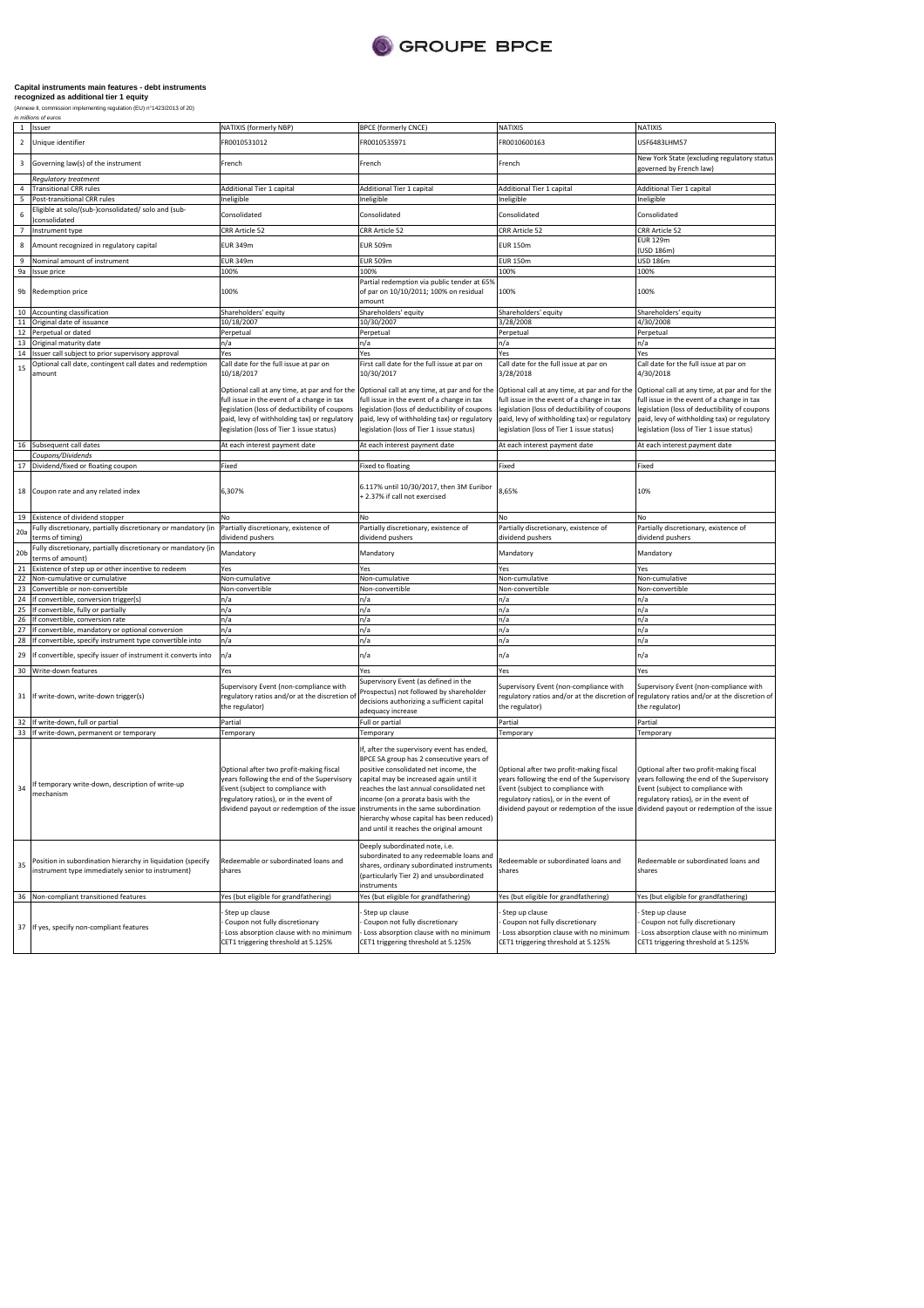

# **Capital instruments main features - debt instruments recognized as additional tier 1 equity**

(Annexe II, commission implementing regulation (EU) n°1423/2013 of 20) in millions of euros

| $\overline{2}$<br>Unique identifier<br>R0010531012<br>FR0010535971<br>FR0010600163<br>USF6483LHM57<br>Governing law(s) of the instrument<br>3<br>French<br>French<br>French<br><b>Regulatory treatment</b><br><b>Additional Tier 1 capital</b><br>Additional Tier 1 capital<br>$\overline{4}$<br><b>Transitional CRR rules</b><br>Additional Tier 1 capital<br>Additional Tier 1 capital<br>5<br>Post-transitional CRR rules<br>Ineligible<br>Ineligible<br>Ineligible<br>Ineligible<br>Eligible at solo/(sub-)consolidated/ solo and (sub-<br>6<br>Consolidated<br>Consolidated<br>Consolidated<br>Consolidated<br>consolidated<br>CRR Article 52<br>CRR Article 52<br>CRR Article 52<br>CRR Article 52<br>$\overline{7}$<br>Instrument type<br><b>EUR 129m</b><br>8<br><b>EUR 349m</b><br><b>EUR 509m</b><br><b>EUR 150m</b><br>Amount recognized in regulatory capital<br>(USD 186m)<br><b>EUR 509m</b><br><b>EUR 349m</b><br><b>EUR 150m</b><br><b>USD 186m</b><br>Nominal amount of instrument<br>100%<br>100%<br>9a<br>100%<br>100%<br>Issue price<br>Partial redemption via public tender at 65%<br>100%<br>100%<br>9b<br>Redemption price<br>of par on 10/10/2011; 100% on residual<br>100%<br>amount<br>Shareholders' equity<br>Accounting classification<br>Shareholders' equity<br>Shareholders' equity<br>Shareholders' equity<br>10<br>10/30/2007<br>Original date of issuance<br>10/18/2007<br>3/28/2008<br>4/30/2008<br>11<br>Perpetual or dated<br>Perpetual<br>12<br>Perpetual<br>Perpetual<br>Perpetual<br>Original maturity date<br>n/a<br>13<br>n/a<br>n/a<br>n/a<br>14<br>Issuer call subject to prior supervisory approval<br>Yes<br>Yes<br>Yes<br>Yes<br>Optional call date, contingent call dates and redemption<br>Call date for the full issue at par on<br>First call date for the full issue at par on<br>Call date for the full issue at par on<br>15<br>10/30/2017<br>4/30/2018<br>10/18/2017<br>3/28/2018<br>amount<br>Optional call at any time, at par and for the<br>Optional call at any time, at par and for the<br>Optional call at any time, at par and for the<br>full issue in the event of a change in tax<br>full issue in the event of a change in tax<br>full issue in the event of a change in tax<br>legislation (loss of deductibility of coupons<br>legislation (loss of deductibility of coupons<br>legislation (loss of deductibility of coupons<br>paid, levy of withholding tax) or regulatory<br>paid, levy of withholding tax) or regulatory<br>paid, levy of withholding tax) or regulatory<br>legislation (loss of Tier 1 issue status)<br>legislation (loss of Tier 1 issue status)<br>legislation (loss of Tier 1 issue status)<br>16 Subsequent call dates<br>At each interest payment date<br>At each interest payment date<br>At each interest payment date<br>Coupons/Dividends<br>Dividend/fixed or floating coupon<br>Fixed<br>Fixed to floating<br>Fixed<br>Fixed<br>17<br>6.117% until 10/30/2017, then 3M Euribor<br>10%<br>6,307%<br>8,65%<br>Coupon rate and any related index<br>18<br>+ 2.37% if call not exercised<br>Existence of dividend stopper<br>19<br>No<br>No<br>No<br>No<br>Fully discretionary, partially discretionary or mandatory (in<br>Partially discretionary, existence of<br>Partially discretionary, existence of<br>Partially discretionary, existence of<br>Partially discretionary, existence of<br>20a<br>erms of timing)<br>dividend pushers<br>dividend pushers<br>dividend pushers<br>dividend pushers<br>Fully discretionary, partially discretionary or mandatory (in<br>20 <sub>b</sub><br>Mandatory<br>Mandatory<br>Mandatory<br>Mandatory<br>terms of amount)<br>Existence of step up or other incentive to redeem<br>21<br>Yes<br>Yes<br>Yes<br>Yes<br>Non-cumulative or cumulative<br>Non-cumulative<br>Non-cumulative<br>22<br>Non-cumulative<br>Non-cumulative<br>23<br>Convertible or non-convertible<br>Non-convertible<br>Non-convertible<br>Non-convertible<br>Non-convertible<br>24<br>If convertible, conversion trigger(s)<br>n/a<br>n/a<br>n/a<br>n/a<br>25<br>If convertible, fully or partially<br>n/a<br>n/a<br>n/a<br>n/a<br>n/a<br>n/a<br>26<br>If convertible, conversion rate<br>n/a<br>n/a<br>n/a<br>27<br>If convertible, mandatory or optional conversion<br>n/a<br>n/a<br>n/a<br>28<br>If convertible, specify instrument type convertible into<br>n/a<br>n/a<br>n/a<br>n/a<br>n/a<br>n/a<br>29<br>n/a<br>n/a<br>If convertible, specify issuer of instrument it converts into<br>30<br>Write-down features<br>Yes<br>Yes<br>Yes<br>Yes<br>Supervisory Event (as defined in the<br>Supervisory Event (non-compliance with<br>Supervisory Event (non-compliance with<br>Prospectus) not followed by shareholder<br>egulatory ratios and/or at the discretion of<br>regulatory ratios and/or at the discretion of<br>31<br>If write-down, write-down trigger(s)<br>decisions authorizing a sufficient capital<br>the regulator)<br>the regulator)<br>the regulator)<br>adequacy increase<br>Full or partial<br>32<br>If write-down, full or partial<br>Partial<br>Partial<br>Partial<br>33 If write-down, permanent or temporary<br>Temporary<br>Temporary<br>Temporary<br>Temporary<br>If, after the supervisory event has ended,<br>BPCE SA group has 2 consecutive years of<br>positive consolidated net income, the<br>Optional after two profit-making fiscal<br>Optional after two profit-making fiscal<br>ears following the end of the Supervisory<br>capital may be increased again until it<br>years following the end of the Supervisory<br>If temporary write-down, description of write-up<br>34<br>Event (subject to compliance with<br>reaches the last annual consolidated net<br>Event (subject to compliance with<br>mechanism<br>regulatory ratios), or in the event of<br>income (on a prorata basis with the<br>regulatory ratios), or in the event of<br>dividend payout or redemption of the issue instruments in the same subordination<br>dividend payout or redemption of the issue dividend payout or redemption of the issue<br>hierarchy whose capital has been reduced)<br>and until it reaches the original amount<br>Deeply subordinated note, i.e.<br>subordinated to any redeemable loans and<br>Position in subordination hierarchy in liquidation (specify<br>Redeemable or subordinated loans and<br>Redeemable or subordinated loans and<br>35<br>shares, ordinary subordinated instruments<br>instrument type immediately senior to instrument)<br>shares<br>shares<br>shares<br>(particularly Tier 2) and unsubordinated<br>instruments<br>36 Non-compliant transitioned features<br>Yes (but eligible for grandfathering)<br>Yes (but eligible for grandfathering)<br>Yes (but eligible for grandfathering)<br>Step up clause<br>Step up clause<br>Step up clause<br>Step up clause<br>Coupon not fully discretionary<br>Coupon not fully discretionary<br>Coupon not fully discretionary<br>37 If yes, specify non-compliant features<br>Loss absorption clause with no minimum<br>Loss absorption clause with no minimum<br>Loss absorption clause with no minimum | $\mathbf{1}$ | Issuer | NATIXIS (formerly NBP)              | <b>BPCE (formerly CNCE)</b>         | <b>NATIXIS</b>                      | NATIXIS                                                                                                                                                                                                                                   |
|-------------------------------------------------------------------------------------------------------------------------------------------------------------------------------------------------------------------------------------------------------------------------------------------------------------------------------------------------------------------------------------------------------------------------------------------------------------------------------------------------------------------------------------------------------------------------------------------------------------------------------------------------------------------------------------------------------------------------------------------------------------------------------------------------------------------------------------------------------------------------------------------------------------------------------------------------------------------------------------------------------------------------------------------------------------------------------------------------------------------------------------------------------------------------------------------------------------------------------------------------------------------------------------------------------------------------------------------------------------------------------------------------------------------------------------------------------------------------------------------------------------------------------------------------------------------------------------------------------------------------------------------------------------------------------------------------------------------------------------------------------------------------------------------------------------------------------------------------------------------------------------------------------------------------------------------------------------------------------------------------------------------------------------------------------------------------------------------------------------------------------------------------------------------------------------------------------------------------------------------------------------------------------------------------------------------------------------------------------------------------------------------------------------------------------------------------------------------------------------------------------------------------------------------------------------------------------------------------------------------------------------------------------------------------------------------------------------------------------------------------------------------------------------------------------------------------------------------------------------------------------------------------------------------------------------------------------------------------------------------------------------------------------------------------------------------------------------------------------------------------------------------------------------------------------------------------------------------------------------------------------------------------------------------------------------------------------------------------------------------------------------------------------------------------------------------------------------------------------------------------------------------------------------------------------------------------------------------------------------------------------------------------------------------------------------------------------------------------------------------------------------------------------------------------------------------------------------------------------------------------------------------------------------------------------------------------------------------------------------------------------------------------------------------------------------------------------------------------------------------------------------------------------------------------------------------------------------------------------------------------------------------------------------------------------------------------------------------------------------------------------------------------------------------------------------------------------------------------------------------------------------------------------------------------------------------------------------------------------------------------------------------------------------------------------------------------------------------------------------------------------------------------------------------------------------------------------------------------------------------------------------------------------------------------------------------------------------------------------------------------------------------------------------------------------------------------------------------------------------------------------------------------------------------------------------------------------------------------------------------------------------------------------------------------------------------------------------------------------------------------------------------------------------------------------------------------------------------------------------------------------------------------------------------------------------------------------------------------------------------------------------------------------------------------------------------------------------------------------------------------------------------------------------------------------------------------------------------------------------------------------------------------------------------------------------------------------------------------------------------------------------------------------------------------------------------------------------------------------------------------------------------------------------------------------------------------------------------------------------------------------------------------------------------------------------------------------------------------------------------------------------------------------------------------------------------------------------------------------------------------------------------------------------------------------------------------------------------------------------------------------------------------------------------------------------------------------------------------------------------------------------------------------------------------------------------------------------------------------------------------------------------------------------------------------------------------------------------------------------------------------------------------------------------------------------------------------------------------------------------------------------------|--------------|--------|-------------------------------------|-------------------------------------|-------------------------------------|-------------------------------------------------------------------------------------------------------------------------------------------------------------------------------------------------------------------------------------------|
|                                                                                                                                                                                                                                                                                                                                                                                                                                                                                                                                                                                                                                                                                                                                                                                                                                                                                                                                                                                                                                                                                                                                                                                                                                                                                                                                                                                                                                                                                                                                                                                                                                                                                                                                                                                                                                                                                                                                                                                                                                                                                                                                                                                                                                                                                                                                                                                                                                                                                                                                                                                                                                                                                                                                                                                                                                                                                                                                                                                                                                                                                                                                                                                                                                                                                                                                                                                                                                                                                                                                                                                                                                                                                                                                                                                                                                                                                                                                                                                                                                                                                                                                                                                                                                                                                                                                                                                                                                                                                                                                                                                                                                                                                                                                                                                                                                                                                                                                                                                                                                                                                                                                                                                                                                                                                                                                                                                                                                                                                                                                                                                                                                                                                                                                                                                                                                                                                                                                                                                                                                                                                                                                                                                                                                                                                                                                                                                                                                                                                                                                                                                                                                                                                                                                                                                                                                                                                                                                                                                                                                                                                                                                           |              |        |                                     |                                     |                                     |                                                                                                                                                                                                                                           |
|                                                                                                                                                                                                                                                                                                                                                                                                                                                                                                                                                                                                                                                                                                                                                                                                                                                                                                                                                                                                                                                                                                                                                                                                                                                                                                                                                                                                                                                                                                                                                                                                                                                                                                                                                                                                                                                                                                                                                                                                                                                                                                                                                                                                                                                                                                                                                                                                                                                                                                                                                                                                                                                                                                                                                                                                                                                                                                                                                                                                                                                                                                                                                                                                                                                                                                                                                                                                                                                                                                                                                                                                                                                                                                                                                                                                                                                                                                                                                                                                                                                                                                                                                                                                                                                                                                                                                                                                                                                                                                                                                                                                                                                                                                                                                                                                                                                                                                                                                                                                                                                                                                                                                                                                                                                                                                                                                                                                                                                                                                                                                                                                                                                                                                                                                                                                                                                                                                                                                                                                                                                                                                                                                                                                                                                                                                                                                                                                                                                                                                                                                                                                                                                                                                                                                                                                                                                                                                                                                                                                                                                                                                                                           |              |        |                                     |                                     |                                     | New York State (excluding regulatory status<br>governed by French law)                                                                                                                                                                    |
|                                                                                                                                                                                                                                                                                                                                                                                                                                                                                                                                                                                                                                                                                                                                                                                                                                                                                                                                                                                                                                                                                                                                                                                                                                                                                                                                                                                                                                                                                                                                                                                                                                                                                                                                                                                                                                                                                                                                                                                                                                                                                                                                                                                                                                                                                                                                                                                                                                                                                                                                                                                                                                                                                                                                                                                                                                                                                                                                                                                                                                                                                                                                                                                                                                                                                                                                                                                                                                                                                                                                                                                                                                                                                                                                                                                                                                                                                                                                                                                                                                                                                                                                                                                                                                                                                                                                                                                                                                                                                                                                                                                                                                                                                                                                                                                                                                                                                                                                                                                                                                                                                                                                                                                                                                                                                                                                                                                                                                                                                                                                                                                                                                                                                                                                                                                                                                                                                                                                                                                                                                                                                                                                                                                                                                                                                                                                                                                                                                                                                                                                                                                                                                                                                                                                                                                                                                                                                                                                                                                                                                                                                                                                           |              |        |                                     |                                     |                                     |                                                                                                                                                                                                                                           |
|                                                                                                                                                                                                                                                                                                                                                                                                                                                                                                                                                                                                                                                                                                                                                                                                                                                                                                                                                                                                                                                                                                                                                                                                                                                                                                                                                                                                                                                                                                                                                                                                                                                                                                                                                                                                                                                                                                                                                                                                                                                                                                                                                                                                                                                                                                                                                                                                                                                                                                                                                                                                                                                                                                                                                                                                                                                                                                                                                                                                                                                                                                                                                                                                                                                                                                                                                                                                                                                                                                                                                                                                                                                                                                                                                                                                                                                                                                                                                                                                                                                                                                                                                                                                                                                                                                                                                                                                                                                                                                                                                                                                                                                                                                                                                                                                                                                                                                                                                                                                                                                                                                                                                                                                                                                                                                                                                                                                                                                                                                                                                                                                                                                                                                                                                                                                                                                                                                                                                                                                                                                                                                                                                                                                                                                                                                                                                                                                                                                                                                                                                                                                                                                                                                                                                                                                                                                                                                                                                                                                                                                                                                                                           |              |        |                                     |                                     |                                     |                                                                                                                                                                                                                                           |
|                                                                                                                                                                                                                                                                                                                                                                                                                                                                                                                                                                                                                                                                                                                                                                                                                                                                                                                                                                                                                                                                                                                                                                                                                                                                                                                                                                                                                                                                                                                                                                                                                                                                                                                                                                                                                                                                                                                                                                                                                                                                                                                                                                                                                                                                                                                                                                                                                                                                                                                                                                                                                                                                                                                                                                                                                                                                                                                                                                                                                                                                                                                                                                                                                                                                                                                                                                                                                                                                                                                                                                                                                                                                                                                                                                                                                                                                                                                                                                                                                                                                                                                                                                                                                                                                                                                                                                                                                                                                                                                                                                                                                                                                                                                                                                                                                                                                                                                                                                                                                                                                                                                                                                                                                                                                                                                                                                                                                                                                                                                                                                                                                                                                                                                                                                                                                                                                                                                                                                                                                                                                                                                                                                                                                                                                                                                                                                                                                                                                                                                                                                                                                                                                                                                                                                                                                                                                                                                                                                                                                                                                                                                                           |              |        |                                     |                                     |                                     |                                                                                                                                                                                                                                           |
|                                                                                                                                                                                                                                                                                                                                                                                                                                                                                                                                                                                                                                                                                                                                                                                                                                                                                                                                                                                                                                                                                                                                                                                                                                                                                                                                                                                                                                                                                                                                                                                                                                                                                                                                                                                                                                                                                                                                                                                                                                                                                                                                                                                                                                                                                                                                                                                                                                                                                                                                                                                                                                                                                                                                                                                                                                                                                                                                                                                                                                                                                                                                                                                                                                                                                                                                                                                                                                                                                                                                                                                                                                                                                                                                                                                                                                                                                                                                                                                                                                                                                                                                                                                                                                                                                                                                                                                                                                                                                                                                                                                                                                                                                                                                                                                                                                                                                                                                                                                                                                                                                                                                                                                                                                                                                                                                                                                                                                                                                                                                                                                                                                                                                                                                                                                                                                                                                                                                                                                                                                                                                                                                                                                                                                                                                                                                                                                                                                                                                                                                                                                                                                                                                                                                                                                                                                                                                                                                                                                                                                                                                                                                           |              |        |                                     |                                     |                                     |                                                                                                                                                                                                                                           |
|                                                                                                                                                                                                                                                                                                                                                                                                                                                                                                                                                                                                                                                                                                                                                                                                                                                                                                                                                                                                                                                                                                                                                                                                                                                                                                                                                                                                                                                                                                                                                                                                                                                                                                                                                                                                                                                                                                                                                                                                                                                                                                                                                                                                                                                                                                                                                                                                                                                                                                                                                                                                                                                                                                                                                                                                                                                                                                                                                                                                                                                                                                                                                                                                                                                                                                                                                                                                                                                                                                                                                                                                                                                                                                                                                                                                                                                                                                                                                                                                                                                                                                                                                                                                                                                                                                                                                                                                                                                                                                                                                                                                                                                                                                                                                                                                                                                                                                                                                                                                                                                                                                                                                                                                                                                                                                                                                                                                                                                                                                                                                                                                                                                                                                                                                                                                                                                                                                                                                                                                                                                                                                                                                                                                                                                                                                                                                                                                                                                                                                                                                                                                                                                                                                                                                                                                                                                                                                                                                                                                                                                                                                                                           |              |        |                                     |                                     |                                     |                                                                                                                                                                                                                                           |
|                                                                                                                                                                                                                                                                                                                                                                                                                                                                                                                                                                                                                                                                                                                                                                                                                                                                                                                                                                                                                                                                                                                                                                                                                                                                                                                                                                                                                                                                                                                                                                                                                                                                                                                                                                                                                                                                                                                                                                                                                                                                                                                                                                                                                                                                                                                                                                                                                                                                                                                                                                                                                                                                                                                                                                                                                                                                                                                                                                                                                                                                                                                                                                                                                                                                                                                                                                                                                                                                                                                                                                                                                                                                                                                                                                                                                                                                                                                                                                                                                                                                                                                                                                                                                                                                                                                                                                                                                                                                                                                                                                                                                                                                                                                                                                                                                                                                                                                                                                                                                                                                                                                                                                                                                                                                                                                                                                                                                                                                                                                                                                                                                                                                                                                                                                                                                                                                                                                                                                                                                                                                                                                                                                                                                                                                                                                                                                                                                                                                                                                                                                                                                                                                                                                                                                                                                                                                                                                                                                                                                                                                                                                                           |              |        |                                     |                                     |                                     |                                                                                                                                                                                                                                           |
|                                                                                                                                                                                                                                                                                                                                                                                                                                                                                                                                                                                                                                                                                                                                                                                                                                                                                                                                                                                                                                                                                                                                                                                                                                                                                                                                                                                                                                                                                                                                                                                                                                                                                                                                                                                                                                                                                                                                                                                                                                                                                                                                                                                                                                                                                                                                                                                                                                                                                                                                                                                                                                                                                                                                                                                                                                                                                                                                                                                                                                                                                                                                                                                                                                                                                                                                                                                                                                                                                                                                                                                                                                                                                                                                                                                                                                                                                                                                                                                                                                                                                                                                                                                                                                                                                                                                                                                                                                                                                                                                                                                                                                                                                                                                                                                                                                                                                                                                                                                                                                                                                                                                                                                                                                                                                                                                                                                                                                                                                                                                                                                                                                                                                                                                                                                                                                                                                                                                                                                                                                                                                                                                                                                                                                                                                                                                                                                                                                                                                                                                                                                                                                                                                                                                                                                                                                                                                                                                                                                                                                                                                                                                           |              |        |                                     |                                     |                                     |                                                                                                                                                                                                                                           |
|                                                                                                                                                                                                                                                                                                                                                                                                                                                                                                                                                                                                                                                                                                                                                                                                                                                                                                                                                                                                                                                                                                                                                                                                                                                                                                                                                                                                                                                                                                                                                                                                                                                                                                                                                                                                                                                                                                                                                                                                                                                                                                                                                                                                                                                                                                                                                                                                                                                                                                                                                                                                                                                                                                                                                                                                                                                                                                                                                                                                                                                                                                                                                                                                                                                                                                                                                                                                                                                                                                                                                                                                                                                                                                                                                                                                                                                                                                                                                                                                                                                                                                                                                                                                                                                                                                                                                                                                                                                                                                                                                                                                                                                                                                                                                                                                                                                                                                                                                                                                                                                                                                                                                                                                                                                                                                                                                                                                                                                                                                                                                                                                                                                                                                                                                                                                                                                                                                                                                                                                                                                                                                                                                                                                                                                                                                                                                                                                                                                                                                                                                                                                                                                                                                                                                                                                                                                                                                                                                                                                                                                                                                                                           |              |        |                                     |                                     |                                     |                                                                                                                                                                                                                                           |
|                                                                                                                                                                                                                                                                                                                                                                                                                                                                                                                                                                                                                                                                                                                                                                                                                                                                                                                                                                                                                                                                                                                                                                                                                                                                                                                                                                                                                                                                                                                                                                                                                                                                                                                                                                                                                                                                                                                                                                                                                                                                                                                                                                                                                                                                                                                                                                                                                                                                                                                                                                                                                                                                                                                                                                                                                                                                                                                                                                                                                                                                                                                                                                                                                                                                                                                                                                                                                                                                                                                                                                                                                                                                                                                                                                                                                                                                                                                                                                                                                                                                                                                                                                                                                                                                                                                                                                                                                                                                                                                                                                                                                                                                                                                                                                                                                                                                                                                                                                                                                                                                                                                                                                                                                                                                                                                                                                                                                                                                                                                                                                                                                                                                                                                                                                                                                                                                                                                                                                                                                                                                                                                                                                                                                                                                                                                                                                                                                                                                                                                                                                                                                                                                                                                                                                                                                                                                                                                                                                                                                                                                                                                                           |              |        |                                     |                                     |                                     |                                                                                                                                                                                                                                           |
|                                                                                                                                                                                                                                                                                                                                                                                                                                                                                                                                                                                                                                                                                                                                                                                                                                                                                                                                                                                                                                                                                                                                                                                                                                                                                                                                                                                                                                                                                                                                                                                                                                                                                                                                                                                                                                                                                                                                                                                                                                                                                                                                                                                                                                                                                                                                                                                                                                                                                                                                                                                                                                                                                                                                                                                                                                                                                                                                                                                                                                                                                                                                                                                                                                                                                                                                                                                                                                                                                                                                                                                                                                                                                                                                                                                                                                                                                                                                                                                                                                                                                                                                                                                                                                                                                                                                                                                                                                                                                                                                                                                                                                                                                                                                                                                                                                                                                                                                                                                                                                                                                                                                                                                                                                                                                                                                                                                                                                                                                                                                                                                                                                                                                                                                                                                                                                                                                                                                                                                                                                                                                                                                                                                                                                                                                                                                                                                                                                                                                                                                                                                                                                                                                                                                                                                                                                                                                                                                                                                                                                                                                                                                           |              |        |                                     |                                     |                                     |                                                                                                                                                                                                                                           |
|                                                                                                                                                                                                                                                                                                                                                                                                                                                                                                                                                                                                                                                                                                                                                                                                                                                                                                                                                                                                                                                                                                                                                                                                                                                                                                                                                                                                                                                                                                                                                                                                                                                                                                                                                                                                                                                                                                                                                                                                                                                                                                                                                                                                                                                                                                                                                                                                                                                                                                                                                                                                                                                                                                                                                                                                                                                                                                                                                                                                                                                                                                                                                                                                                                                                                                                                                                                                                                                                                                                                                                                                                                                                                                                                                                                                                                                                                                                                                                                                                                                                                                                                                                                                                                                                                                                                                                                                                                                                                                                                                                                                                                                                                                                                                                                                                                                                                                                                                                                                                                                                                                                                                                                                                                                                                                                                                                                                                                                                                                                                                                                                                                                                                                                                                                                                                                                                                                                                                                                                                                                                                                                                                                                                                                                                                                                                                                                                                                                                                                                                                                                                                                                                                                                                                                                                                                                                                                                                                                                                                                                                                                                                           |              |        |                                     |                                     |                                     |                                                                                                                                                                                                                                           |
|                                                                                                                                                                                                                                                                                                                                                                                                                                                                                                                                                                                                                                                                                                                                                                                                                                                                                                                                                                                                                                                                                                                                                                                                                                                                                                                                                                                                                                                                                                                                                                                                                                                                                                                                                                                                                                                                                                                                                                                                                                                                                                                                                                                                                                                                                                                                                                                                                                                                                                                                                                                                                                                                                                                                                                                                                                                                                                                                                                                                                                                                                                                                                                                                                                                                                                                                                                                                                                                                                                                                                                                                                                                                                                                                                                                                                                                                                                                                                                                                                                                                                                                                                                                                                                                                                                                                                                                                                                                                                                                                                                                                                                                                                                                                                                                                                                                                                                                                                                                                                                                                                                                                                                                                                                                                                                                                                                                                                                                                                                                                                                                                                                                                                                                                                                                                                                                                                                                                                                                                                                                                                                                                                                                                                                                                                                                                                                                                                                                                                                                                                                                                                                                                                                                                                                                                                                                                                                                                                                                                                                                                                                                                           |              |        |                                     |                                     |                                     |                                                                                                                                                                                                                                           |
|                                                                                                                                                                                                                                                                                                                                                                                                                                                                                                                                                                                                                                                                                                                                                                                                                                                                                                                                                                                                                                                                                                                                                                                                                                                                                                                                                                                                                                                                                                                                                                                                                                                                                                                                                                                                                                                                                                                                                                                                                                                                                                                                                                                                                                                                                                                                                                                                                                                                                                                                                                                                                                                                                                                                                                                                                                                                                                                                                                                                                                                                                                                                                                                                                                                                                                                                                                                                                                                                                                                                                                                                                                                                                                                                                                                                                                                                                                                                                                                                                                                                                                                                                                                                                                                                                                                                                                                                                                                                                                                                                                                                                                                                                                                                                                                                                                                                                                                                                                                                                                                                                                                                                                                                                                                                                                                                                                                                                                                                                                                                                                                                                                                                                                                                                                                                                                                                                                                                                                                                                                                                                                                                                                                                                                                                                                                                                                                                                                                                                                                                                                                                                                                                                                                                                                                                                                                                                                                                                                                                                                                                                                                                           |              |        |                                     |                                     |                                     |                                                                                                                                                                                                                                           |
|                                                                                                                                                                                                                                                                                                                                                                                                                                                                                                                                                                                                                                                                                                                                                                                                                                                                                                                                                                                                                                                                                                                                                                                                                                                                                                                                                                                                                                                                                                                                                                                                                                                                                                                                                                                                                                                                                                                                                                                                                                                                                                                                                                                                                                                                                                                                                                                                                                                                                                                                                                                                                                                                                                                                                                                                                                                                                                                                                                                                                                                                                                                                                                                                                                                                                                                                                                                                                                                                                                                                                                                                                                                                                                                                                                                                                                                                                                                                                                                                                                                                                                                                                                                                                                                                                                                                                                                                                                                                                                                                                                                                                                                                                                                                                                                                                                                                                                                                                                                                                                                                                                                                                                                                                                                                                                                                                                                                                                                                                                                                                                                                                                                                                                                                                                                                                                                                                                                                                                                                                                                                                                                                                                                                                                                                                                                                                                                                                                                                                                                                                                                                                                                                                                                                                                                                                                                                                                                                                                                                                                                                                                                                           |              |        |                                     |                                     |                                     |                                                                                                                                                                                                                                           |
|                                                                                                                                                                                                                                                                                                                                                                                                                                                                                                                                                                                                                                                                                                                                                                                                                                                                                                                                                                                                                                                                                                                                                                                                                                                                                                                                                                                                                                                                                                                                                                                                                                                                                                                                                                                                                                                                                                                                                                                                                                                                                                                                                                                                                                                                                                                                                                                                                                                                                                                                                                                                                                                                                                                                                                                                                                                                                                                                                                                                                                                                                                                                                                                                                                                                                                                                                                                                                                                                                                                                                                                                                                                                                                                                                                                                                                                                                                                                                                                                                                                                                                                                                                                                                                                                                                                                                                                                                                                                                                                                                                                                                                                                                                                                                                                                                                                                                                                                                                                                                                                                                                                                                                                                                                                                                                                                                                                                                                                                                                                                                                                                                                                                                                                                                                                                                                                                                                                                                                                                                                                                                                                                                                                                                                                                                                                                                                                                                                                                                                                                                                                                                                                                                                                                                                                                                                                                                                                                                                                                                                                                                                                                           |              |        |                                     |                                     |                                     | Call date for the full issue at par on                                                                                                                                                                                                    |
|                                                                                                                                                                                                                                                                                                                                                                                                                                                                                                                                                                                                                                                                                                                                                                                                                                                                                                                                                                                                                                                                                                                                                                                                                                                                                                                                                                                                                                                                                                                                                                                                                                                                                                                                                                                                                                                                                                                                                                                                                                                                                                                                                                                                                                                                                                                                                                                                                                                                                                                                                                                                                                                                                                                                                                                                                                                                                                                                                                                                                                                                                                                                                                                                                                                                                                                                                                                                                                                                                                                                                                                                                                                                                                                                                                                                                                                                                                                                                                                                                                                                                                                                                                                                                                                                                                                                                                                                                                                                                                                                                                                                                                                                                                                                                                                                                                                                                                                                                                                                                                                                                                                                                                                                                                                                                                                                                                                                                                                                                                                                                                                                                                                                                                                                                                                                                                                                                                                                                                                                                                                                                                                                                                                                                                                                                                                                                                                                                                                                                                                                                                                                                                                                                                                                                                                                                                                                                                                                                                                                                                                                                                                                           |              |        |                                     |                                     |                                     | Optional call at any time, at par and for the<br>full issue in the event of a change in tax<br>legislation (loss of deductibility of coupons<br>paid, levy of withholding tax) or regulatory<br>legislation (loss of Tier 1 issue status) |
|                                                                                                                                                                                                                                                                                                                                                                                                                                                                                                                                                                                                                                                                                                                                                                                                                                                                                                                                                                                                                                                                                                                                                                                                                                                                                                                                                                                                                                                                                                                                                                                                                                                                                                                                                                                                                                                                                                                                                                                                                                                                                                                                                                                                                                                                                                                                                                                                                                                                                                                                                                                                                                                                                                                                                                                                                                                                                                                                                                                                                                                                                                                                                                                                                                                                                                                                                                                                                                                                                                                                                                                                                                                                                                                                                                                                                                                                                                                                                                                                                                                                                                                                                                                                                                                                                                                                                                                                                                                                                                                                                                                                                                                                                                                                                                                                                                                                                                                                                                                                                                                                                                                                                                                                                                                                                                                                                                                                                                                                                                                                                                                                                                                                                                                                                                                                                                                                                                                                                                                                                                                                                                                                                                                                                                                                                                                                                                                                                                                                                                                                                                                                                                                                                                                                                                                                                                                                                                                                                                                                                                                                                                                                           |              |        |                                     |                                     |                                     | At each interest payment date                                                                                                                                                                                                             |
|                                                                                                                                                                                                                                                                                                                                                                                                                                                                                                                                                                                                                                                                                                                                                                                                                                                                                                                                                                                                                                                                                                                                                                                                                                                                                                                                                                                                                                                                                                                                                                                                                                                                                                                                                                                                                                                                                                                                                                                                                                                                                                                                                                                                                                                                                                                                                                                                                                                                                                                                                                                                                                                                                                                                                                                                                                                                                                                                                                                                                                                                                                                                                                                                                                                                                                                                                                                                                                                                                                                                                                                                                                                                                                                                                                                                                                                                                                                                                                                                                                                                                                                                                                                                                                                                                                                                                                                                                                                                                                                                                                                                                                                                                                                                                                                                                                                                                                                                                                                                                                                                                                                                                                                                                                                                                                                                                                                                                                                                                                                                                                                                                                                                                                                                                                                                                                                                                                                                                                                                                                                                                                                                                                                                                                                                                                                                                                                                                                                                                                                                                                                                                                                                                                                                                                                                                                                                                                                                                                                                                                                                                                                                           |              |        |                                     |                                     |                                     |                                                                                                                                                                                                                                           |
|                                                                                                                                                                                                                                                                                                                                                                                                                                                                                                                                                                                                                                                                                                                                                                                                                                                                                                                                                                                                                                                                                                                                                                                                                                                                                                                                                                                                                                                                                                                                                                                                                                                                                                                                                                                                                                                                                                                                                                                                                                                                                                                                                                                                                                                                                                                                                                                                                                                                                                                                                                                                                                                                                                                                                                                                                                                                                                                                                                                                                                                                                                                                                                                                                                                                                                                                                                                                                                                                                                                                                                                                                                                                                                                                                                                                                                                                                                                                                                                                                                                                                                                                                                                                                                                                                                                                                                                                                                                                                                                                                                                                                                                                                                                                                                                                                                                                                                                                                                                                                                                                                                                                                                                                                                                                                                                                                                                                                                                                                                                                                                                                                                                                                                                                                                                                                                                                                                                                                                                                                                                                                                                                                                                                                                                                                                                                                                                                                                                                                                                                                                                                                                                                                                                                                                                                                                                                                                                                                                                                                                                                                                                                           |              |        |                                     |                                     |                                     |                                                                                                                                                                                                                                           |
|                                                                                                                                                                                                                                                                                                                                                                                                                                                                                                                                                                                                                                                                                                                                                                                                                                                                                                                                                                                                                                                                                                                                                                                                                                                                                                                                                                                                                                                                                                                                                                                                                                                                                                                                                                                                                                                                                                                                                                                                                                                                                                                                                                                                                                                                                                                                                                                                                                                                                                                                                                                                                                                                                                                                                                                                                                                                                                                                                                                                                                                                                                                                                                                                                                                                                                                                                                                                                                                                                                                                                                                                                                                                                                                                                                                                                                                                                                                                                                                                                                                                                                                                                                                                                                                                                                                                                                                                                                                                                                                                                                                                                                                                                                                                                                                                                                                                                                                                                                                                                                                                                                                                                                                                                                                                                                                                                                                                                                                                                                                                                                                                                                                                                                                                                                                                                                                                                                                                                                                                                                                                                                                                                                                                                                                                                                                                                                                                                                                                                                                                                                                                                                                                                                                                                                                                                                                                                                                                                                                                                                                                                                                                           |              |        |                                     |                                     |                                     |                                                                                                                                                                                                                                           |
|                                                                                                                                                                                                                                                                                                                                                                                                                                                                                                                                                                                                                                                                                                                                                                                                                                                                                                                                                                                                                                                                                                                                                                                                                                                                                                                                                                                                                                                                                                                                                                                                                                                                                                                                                                                                                                                                                                                                                                                                                                                                                                                                                                                                                                                                                                                                                                                                                                                                                                                                                                                                                                                                                                                                                                                                                                                                                                                                                                                                                                                                                                                                                                                                                                                                                                                                                                                                                                                                                                                                                                                                                                                                                                                                                                                                                                                                                                                                                                                                                                                                                                                                                                                                                                                                                                                                                                                                                                                                                                                                                                                                                                                                                                                                                                                                                                                                                                                                                                                                                                                                                                                                                                                                                                                                                                                                                                                                                                                                                                                                                                                                                                                                                                                                                                                                                                                                                                                                                                                                                                                                                                                                                                                                                                                                                                                                                                                                                                                                                                                                                                                                                                                                                                                                                                                                                                                                                                                                                                                                                                                                                                                                           |              |        |                                     |                                     |                                     |                                                                                                                                                                                                                                           |
|                                                                                                                                                                                                                                                                                                                                                                                                                                                                                                                                                                                                                                                                                                                                                                                                                                                                                                                                                                                                                                                                                                                                                                                                                                                                                                                                                                                                                                                                                                                                                                                                                                                                                                                                                                                                                                                                                                                                                                                                                                                                                                                                                                                                                                                                                                                                                                                                                                                                                                                                                                                                                                                                                                                                                                                                                                                                                                                                                                                                                                                                                                                                                                                                                                                                                                                                                                                                                                                                                                                                                                                                                                                                                                                                                                                                                                                                                                                                                                                                                                                                                                                                                                                                                                                                                                                                                                                                                                                                                                                                                                                                                                                                                                                                                                                                                                                                                                                                                                                                                                                                                                                                                                                                                                                                                                                                                                                                                                                                                                                                                                                                                                                                                                                                                                                                                                                                                                                                                                                                                                                                                                                                                                                                                                                                                                                                                                                                                                                                                                                                                                                                                                                                                                                                                                                                                                                                                                                                                                                                                                                                                                                                           |              |        |                                     |                                     |                                     |                                                                                                                                                                                                                                           |
|                                                                                                                                                                                                                                                                                                                                                                                                                                                                                                                                                                                                                                                                                                                                                                                                                                                                                                                                                                                                                                                                                                                                                                                                                                                                                                                                                                                                                                                                                                                                                                                                                                                                                                                                                                                                                                                                                                                                                                                                                                                                                                                                                                                                                                                                                                                                                                                                                                                                                                                                                                                                                                                                                                                                                                                                                                                                                                                                                                                                                                                                                                                                                                                                                                                                                                                                                                                                                                                                                                                                                                                                                                                                                                                                                                                                                                                                                                                                                                                                                                                                                                                                                                                                                                                                                                                                                                                                                                                                                                                                                                                                                                                                                                                                                                                                                                                                                                                                                                                                                                                                                                                                                                                                                                                                                                                                                                                                                                                                                                                                                                                                                                                                                                                                                                                                                                                                                                                                                                                                                                                                                                                                                                                                                                                                                                                                                                                                                                                                                                                                                                                                                                                                                                                                                                                                                                                                                                                                                                                                                                                                                                                                           |              |        |                                     |                                     |                                     |                                                                                                                                                                                                                                           |
|                                                                                                                                                                                                                                                                                                                                                                                                                                                                                                                                                                                                                                                                                                                                                                                                                                                                                                                                                                                                                                                                                                                                                                                                                                                                                                                                                                                                                                                                                                                                                                                                                                                                                                                                                                                                                                                                                                                                                                                                                                                                                                                                                                                                                                                                                                                                                                                                                                                                                                                                                                                                                                                                                                                                                                                                                                                                                                                                                                                                                                                                                                                                                                                                                                                                                                                                                                                                                                                                                                                                                                                                                                                                                                                                                                                                                                                                                                                                                                                                                                                                                                                                                                                                                                                                                                                                                                                                                                                                                                                                                                                                                                                                                                                                                                                                                                                                                                                                                                                                                                                                                                                                                                                                                                                                                                                                                                                                                                                                                                                                                                                                                                                                                                                                                                                                                                                                                                                                                                                                                                                                                                                                                                                                                                                                                                                                                                                                                                                                                                                                                                                                                                                                                                                                                                                                                                                                                                                                                                                                                                                                                                                                           |              |        |                                     |                                     |                                     |                                                                                                                                                                                                                                           |
|                                                                                                                                                                                                                                                                                                                                                                                                                                                                                                                                                                                                                                                                                                                                                                                                                                                                                                                                                                                                                                                                                                                                                                                                                                                                                                                                                                                                                                                                                                                                                                                                                                                                                                                                                                                                                                                                                                                                                                                                                                                                                                                                                                                                                                                                                                                                                                                                                                                                                                                                                                                                                                                                                                                                                                                                                                                                                                                                                                                                                                                                                                                                                                                                                                                                                                                                                                                                                                                                                                                                                                                                                                                                                                                                                                                                                                                                                                                                                                                                                                                                                                                                                                                                                                                                                                                                                                                                                                                                                                                                                                                                                                                                                                                                                                                                                                                                                                                                                                                                                                                                                                                                                                                                                                                                                                                                                                                                                                                                                                                                                                                                                                                                                                                                                                                                                                                                                                                                                                                                                                                                                                                                                                                                                                                                                                                                                                                                                                                                                                                                                                                                                                                                                                                                                                                                                                                                                                                                                                                                                                                                                                                                           |              |        |                                     |                                     |                                     |                                                                                                                                                                                                                                           |
|                                                                                                                                                                                                                                                                                                                                                                                                                                                                                                                                                                                                                                                                                                                                                                                                                                                                                                                                                                                                                                                                                                                                                                                                                                                                                                                                                                                                                                                                                                                                                                                                                                                                                                                                                                                                                                                                                                                                                                                                                                                                                                                                                                                                                                                                                                                                                                                                                                                                                                                                                                                                                                                                                                                                                                                                                                                                                                                                                                                                                                                                                                                                                                                                                                                                                                                                                                                                                                                                                                                                                                                                                                                                                                                                                                                                                                                                                                                                                                                                                                                                                                                                                                                                                                                                                                                                                                                                                                                                                                                                                                                                                                                                                                                                                                                                                                                                                                                                                                                                                                                                                                                                                                                                                                                                                                                                                                                                                                                                                                                                                                                                                                                                                                                                                                                                                                                                                                                                                                                                                                                                                                                                                                                                                                                                                                                                                                                                                                                                                                                                                                                                                                                                                                                                                                                                                                                                                                                                                                                                                                                                                                                                           |              |        |                                     |                                     |                                     |                                                                                                                                                                                                                                           |
|                                                                                                                                                                                                                                                                                                                                                                                                                                                                                                                                                                                                                                                                                                                                                                                                                                                                                                                                                                                                                                                                                                                                                                                                                                                                                                                                                                                                                                                                                                                                                                                                                                                                                                                                                                                                                                                                                                                                                                                                                                                                                                                                                                                                                                                                                                                                                                                                                                                                                                                                                                                                                                                                                                                                                                                                                                                                                                                                                                                                                                                                                                                                                                                                                                                                                                                                                                                                                                                                                                                                                                                                                                                                                                                                                                                                                                                                                                                                                                                                                                                                                                                                                                                                                                                                                                                                                                                                                                                                                                                                                                                                                                                                                                                                                                                                                                                                                                                                                                                                                                                                                                                                                                                                                                                                                                                                                                                                                                                                                                                                                                                                                                                                                                                                                                                                                                                                                                                                                                                                                                                                                                                                                                                                                                                                                                                                                                                                                                                                                                                                                                                                                                                                                                                                                                                                                                                                                                                                                                                                                                                                                                                                           |              |        |                                     |                                     |                                     |                                                                                                                                                                                                                                           |
|                                                                                                                                                                                                                                                                                                                                                                                                                                                                                                                                                                                                                                                                                                                                                                                                                                                                                                                                                                                                                                                                                                                                                                                                                                                                                                                                                                                                                                                                                                                                                                                                                                                                                                                                                                                                                                                                                                                                                                                                                                                                                                                                                                                                                                                                                                                                                                                                                                                                                                                                                                                                                                                                                                                                                                                                                                                                                                                                                                                                                                                                                                                                                                                                                                                                                                                                                                                                                                                                                                                                                                                                                                                                                                                                                                                                                                                                                                                                                                                                                                                                                                                                                                                                                                                                                                                                                                                                                                                                                                                                                                                                                                                                                                                                                                                                                                                                                                                                                                                                                                                                                                                                                                                                                                                                                                                                                                                                                                                                                                                                                                                                                                                                                                                                                                                                                                                                                                                                                                                                                                                                                                                                                                                                                                                                                                                                                                                                                                                                                                                                                                                                                                                                                                                                                                                                                                                                                                                                                                                                                                                                                                                                           |              |        |                                     |                                     |                                     |                                                                                                                                                                                                                                           |
|                                                                                                                                                                                                                                                                                                                                                                                                                                                                                                                                                                                                                                                                                                                                                                                                                                                                                                                                                                                                                                                                                                                                                                                                                                                                                                                                                                                                                                                                                                                                                                                                                                                                                                                                                                                                                                                                                                                                                                                                                                                                                                                                                                                                                                                                                                                                                                                                                                                                                                                                                                                                                                                                                                                                                                                                                                                                                                                                                                                                                                                                                                                                                                                                                                                                                                                                                                                                                                                                                                                                                                                                                                                                                                                                                                                                                                                                                                                                                                                                                                                                                                                                                                                                                                                                                                                                                                                                                                                                                                                                                                                                                                                                                                                                                                                                                                                                                                                                                                                                                                                                                                                                                                                                                                                                                                                                                                                                                                                                                                                                                                                                                                                                                                                                                                                                                                                                                                                                                                                                                                                                                                                                                                                                                                                                                                                                                                                                                                                                                                                                                                                                                                                                                                                                                                                                                                                                                                                                                                                                                                                                                                                                           |              |        |                                     |                                     |                                     |                                                                                                                                                                                                                                           |
|                                                                                                                                                                                                                                                                                                                                                                                                                                                                                                                                                                                                                                                                                                                                                                                                                                                                                                                                                                                                                                                                                                                                                                                                                                                                                                                                                                                                                                                                                                                                                                                                                                                                                                                                                                                                                                                                                                                                                                                                                                                                                                                                                                                                                                                                                                                                                                                                                                                                                                                                                                                                                                                                                                                                                                                                                                                                                                                                                                                                                                                                                                                                                                                                                                                                                                                                                                                                                                                                                                                                                                                                                                                                                                                                                                                                                                                                                                                                                                                                                                                                                                                                                                                                                                                                                                                                                                                                                                                                                                                                                                                                                                                                                                                                                                                                                                                                                                                                                                                                                                                                                                                                                                                                                                                                                                                                                                                                                                                                                                                                                                                                                                                                                                                                                                                                                                                                                                                                                                                                                                                                                                                                                                                                                                                                                                                                                                                                                                                                                                                                                                                                                                                                                                                                                                                                                                                                                                                                                                                                                                                                                                                                           |              |        |                                     |                                     |                                     |                                                                                                                                                                                                                                           |
|                                                                                                                                                                                                                                                                                                                                                                                                                                                                                                                                                                                                                                                                                                                                                                                                                                                                                                                                                                                                                                                                                                                                                                                                                                                                                                                                                                                                                                                                                                                                                                                                                                                                                                                                                                                                                                                                                                                                                                                                                                                                                                                                                                                                                                                                                                                                                                                                                                                                                                                                                                                                                                                                                                                                                                                                                                                                                                                                                                                                                                                                                                                                                                                                                                                                                                                                                                                                                                                                                                                                                                                                                                                                                                                                                                                                                                                                                                                                                                                                                                                                                                                                                                                                                                                                                                                                                                                                                                                                                                                                                                                                                                                                                                                                                                                                                                                                                                                                                                                                                                                                                                                                                                                                                                                                                                                                                                                                                                                                                                                                                                                                                                                                                                                                                                                                                                                                                                                                                                                                                                                                                                                                                                                                                                                                                                                                                                                                                                                                                                                                                                                                                                                                                                                                                                                                                                                                                                                                                                                                                                                                                                                                           |              |        |                                     |                                     |                                     |                                                                                                                                                                                                                                           |
|                                                                                                                                                                                                                                                                                                                                                                                                                                                                                                                                                                                                                                                                                                                                                                                                                                                                                                                                                                                                                                                                                                                                                                                                                                                                                                                                                                                                                                                                                                                                                                                                                                                                                                                                                                                                                                                                                                                                                                                                                                                                                                                                                                                                                                                                                                                                                                                                                                                                                                                                                                                                                                                                                                                                                                                                                                                                                                                                                                                                                                                                                                                                                                                                                                                                                                                                                                                                                                                                                                                                                                                                                                                                                                                                                                                                                                                                                                                                                                                                                                                                                                                                                                                                                                                                                                                                                                                                                                                                                                                                                                                                                                                                                                                                                                                                                                                                                                                                                                                                                                                                                                                                                                                                                                                                                                                                                                                                                                                                                                                                                                                                                                                                                                                                                                                                                                                                                                                                                                                                                                                                                                                                                                                                                                                                                                                                                                                                                                                                                                                                                                                                                                                                                                                                                                                                                                                                                                                                                                                                                                                                                                                                           |              |        |                                     |                                     |                                     |                                                                                                                                                                                                                                           |
|                                                                                                                                                                                                                                                                                                                                                                                                                                                                                                                                                                                                                                                                                                                                                                                                                                                                                                                                                                                                                                                                                                                                                                                                                                                                                                                                                                                                                                                                                                                                                                                                                                                                                                                                                                                                                                                                                                                                                                                                                                                                                                                                                                                                                                                                                                                                                                                                                                                                                                                                                                                                                                                                                                                                                                                                                                                                                                                                                                                                                                                                                                                                                                                                                                                                                                                                                                                                                                                                                                                                                                                                                                                                                                                                                                                                                                                                                                                                                                                                                                                                                                                                                                                                                                                                                                                                                                                                                                                                                                                                                                                                                                                                                                                                                                                                                                                                                                                                                                                                                                                                                                                                                                                                                                                                                                                                                                                                                                                                                                                                                                                                                                                                                                                                                                                                                                                                                                                                                                                                                                                                                                                                                                                                                                                                                                                                                                                                                                                                                                                                                                                                                                                                                                                                                                                                                                                                                                                                                                                                                                                                                                                                           |              |        |                                     |                                     |                                     |                                                                                                                                                                                                                                           |
|                                                                                                                                                                                                                                                                                                                                                                                                                                                                                                                                                                                                                                                                                                                                                                                                                                                                                                                                                                                                                                                                                                                                                                                                                                                                                                                                                                                                                                                                                                                                                                                                                                                                                                                                                                                                                                                                                                                                                                                                                                                                                                                                                                                                                                                                                                                                                                                                                                                                                                                                                                                                                                                                                                                                                                                                                                                                                                                                                                                                                                                                                                                                                                                                                                                                                                                                                                                                                                                                                                                                                                                                                                                                                                                                                                                                                                                                                                                                                                                                                                                                                                                                                                                                                                                                                                                                                                                                                                                                                                                                                                                                                                                                                                                                                                                                                                                                                                                                                                                                                                                                                                                                                                                                                                                                                                                                                                                                                                                                                                                                                                                                                                                                                                                                                                                                                                                                                                                                                                                                                                                                                                                                                                                                                                                                                                                                                                                                                                                                                                                                                                                                                                                                                                                                                                                                                                                                                                                                                                                                                                                                                                                                           |              |        |                                     |                                     |                                     |                                                                                                                                                                                                                                           |
|                                                                                                                                                                                                                                                                                                                                                                                                                                                                                                                                                                                                                                                                                                                                                                                                                                                                                                                                                                                                                                                                                                                                                                                                                                                                                                                                                                                                                                                                                                                                                                                                                                                                                                                                                                                                                                                                                                                                                                                                                                                                                                                                                                                                                                                                                                                                                                                                                                                                                                                                                                                                                                                                                                                                                                                                                                                                                                                                                                                                                                                                                                                                                                                                                                                                                                                                                                                                                                                                                                                                                                                                                                                                                                                                                                                                                                                                                                                                                                                                                                                                                                                                                                                                                                                                                                                                                                                                                                                                                                                                                                                                                                                                                                                                                                                                                                                                                                                                                                                                                                                                                                                                                                                                                                                                                                                                                                                                                                                                                                                                                                                                                                                                                                                                                                                                                                                                                                                                                                                                                                                                                                                                                                                                                                                                                                                                                                                                                                                                                                                                                                                                                                                                                                                                                                                                                                                                                                                                                                                                                                                                                                                                           |              |        |                                     |                                     |                                     | Supervisory Event (non-compliance with<br>regulatory ratios and/or at the discretion of                                                                                                                                                   |
|                                                                                                                                                                                                                                                                                                                                                                                                                                                                                                                                                                                                                                                                                                                                                                                                                                                                                                                                                                                                                                                                                                                                                                                                                                                                                                                                                                                                                                                                                                                                                                                                                                                                                                                                                                                                                                                                                                                                                                                                                                                                                                                                                                                                                                                                                                                                                                                                                                                                                                                                                                                                                                                                                                                                                                                                                                                                                                                                                                                                                                                                                                                                                                                                                                                                                                                                                                                                                                                                                                                                                                                                                                                                                                                                                                                                                                                                                                                                                                                                                                                                                                                                                                                                                                                                                                                                                                                                                                                                                                                                                                                                                                                                                                                                                                                                                                                                                                                                                                                                                                                                                                                                                                                                                                                                                                                                                                                                                                                                                                                                                                                                                                                                                                                                                                                                                                                                                                                                                                                                                                                                                                                                                                                                                                                                                                                                                                                                                                                                                                                                                                                                                                                                                                                                                                                                                                                                                                                                                                                                                                                                                                                                           |              |        |                                     |                                     |                                     |                                                                                                                                                                                                                                           |
|                                                                                                                                                                                                                                                                                                                                                                                                                                                                                                                                                                                                                                                                                                                                                                                                                                                                                                                                                                                                                                                                                                                                                                                                                                                                                                                                                                                                                                                                                                                                                                                                                                                                                                                                                                                                                                                                                                                                                                                                                                                                                                                                                                                                                                                                                                                                                                                                                                                                                                                                                                                                                                                                                                                                                                                                                                                                                                                                                                                                                                                                                                                                                                                                                                                                                                                                                                                                                                                                                                                                                                                                                                                                                                                                                                                                                                                                                                                                                                                                                                                                                                                                                                                                                                                                                                                                                                                                                                                                                                                                                                                                                                                                                                                                                                                                                                                                                                                                                                                                                                                                                                                                                                                                                                                                                                                                                                                                                                                                                                                                                                                                                                                                                                                                                                                                                                                                                                                                                                                                                                                                                                                                                                                                                                                                                                                                                                                                                                                                                                                                                                                                                                                                                                                                                                                                                                                                                                                                                                                                                                                                                                                                           |              |        |                                     |                                     |                                     |                                                                                                                                                                                                                                           |
|                                                                                                                                                                                                                                                                                                                                                                                                                                                                                                                                                                                                                                                                                                                                                                                                                                                                                                                                                                                                                                                                                                                                                                                                                                                                                                                                                                                                                                                                                                                                                                                                                                                                                                                                                                                                                                                                                                                                                                                                                                                                                                                                                                                                                                                                                                                                                                                                                                                                                                                                                                                                                                                                                                                                                                                                                                                                                                                                                                                                                                                                                                                                                                                                                                                                                                                                                                                                                                                                                                                                                                                                                                                                                                                                                                                                                                                                                                                                                                                                                                                                                                                                                                                                                                                                                                                                                                                                                                                                                                                                                                                                                                                                                                                                                                                                                                                                                                                                                                                                                                                                                                                                                                                                                                                                                                                                                                                                                                                                                                                                                                                                                                                                                                                                                                                                                                                                                                                                                                                                                                                                                                                                                                                                                                                                                                                                                                                                                                                                                                                                                                                                                                                                                                                                                                                                                                                                                                                                                                                                                                                                                                                                           |              |        |                                     |                                     |                                     | Optional after two profit-making fiscal<br>years following the end of the Supervisory<br>Event (subject to compliance with<br>regulatory ratios), or in the event of                                                                      |
|                                                                                                                                                                                                                                                                                                                                                                                                                                                                                                                                                                                                                                                                                                                                                                                                                                                                                                                                                                                                                                                                                                                                                                                                                                                                                                                                                                                                                                                                                                                                                                                                                                                                                                                                                                                                                                                                                                                                                                                                                                                                                                                                                                                                                                                                                                                                                                                                                                                                                                                                                                                                                                                                                                                                                                                                                                                                                                                                                                                                                                                                                                                                                                                                                                                                                                                                                                                                                                                                                                                                                                                                                                                                                                                                                                                                                                                                                                                                                                                                                                                                                                                                                                                                                                                                                                                                                                                                                                                                                                                                                                                                                                                                                                                                                                                                                                                                                                                                                                                                                                                                                                                                                                                                                                                                                                                                                                                                                                                                                                                                                                                                                                                                                                                                                                                                                                                                                                                                                                                                                                                                                                                                                                                                                                                                                                                                                                                                                                                                                                                                                                                                                                                                                                                                                                                                                                                                                                                                                                                                                                                                                                                                           |              |        |                                     |                                     |                                     | Redeemable or subordinated loans and                                                                                                                                                                                                      |
|                                                                                                                                                                                                                                                                                                                                                                                                                                                                                                                                                                                                                                                                                                                                                                                                                                                                                                                                                                                                                                                                                                                                                                                                                                                                                                                                                                                                                                                                                                                                                                                                                                                                                                                                                                                                                                                                                                                                                                                                                                                                                                                                                                                                                                                                                                                                                                                                                                                                                                                                                                                                                                                                                                                                                                                                                                                                                                                                                                                                                                                                                                                                                                                                                                                                                                                                                                                                                                                                                                                                                                                                                                                                                                                                                                                                                                                                                                                                                                                                                                                                                                                                                                                                                                                                                                                                                                                                                                                                                                                                                                                                                                                                                                                                                                                                                                                                                                                                                                                                                                                                                                                                                                                                                                                                                                                                                                                                                                                                                                                                                                                                                                                                                                                                                                                                                                                                                                                                                                                                                                                                                                                                                                                                                                                                                                                                                                                                                                                                                                                                                                                                                                                                                                                                                                                                                                                                                                                                                                                                                                                                                                                                           |              |        |                                     |                                     |                                     | Yes (but eligible for grandfathering)                                                                                                                                                                                                     |
|                                                                                                                                                                                                                                                                                                                                                                                                                                                                                                                                                                                                                                                                                                                                                                                                                                                                                                                                                                                                                                                                                                                                                                                                                                                                                                                                                                                                                                                                                                                                                                                                                                                                                                                                                                                                                                                                                                                                                                                                                                                                                                                                                                                                                                                                                                                                                                                                                                                                                                                                                                                                                                                                                                                                                                                                                                                                                                                                                                                                                                                                                                                                                                                                                                                                                                                                                                                                                                                                                                                                                                                                                                                                                                                                                                                                                                                                                                                                                                                                                                                                                                                                                                                                                                                                                                                                                                                                                                                                                                                                                                                                                                                                                                                                                                                                                                                                                                                                                                                                                                                                                                                                                                                                                                                                                                                                                                                                                                                                                                                                                                                                                                                                                                                                                                                                                                                                                                                                                                                                                                                                                                                                                                                                                                                                                                                                                                                                                                                                                                                                                                                                                                                                                                                                                                                                                                                                                                                                                                                                                                                                                                                                           |              |        | CET1 triggering threshold at 5.125% | CET1 triggering threshold at 5.125% | CET1 triggering threshold at 5.125% | Coupon not fully discretionary<br>Loss absorption clause with no minimum<br>CET1 triggering threshold at 5.125%                                                                                                                           |